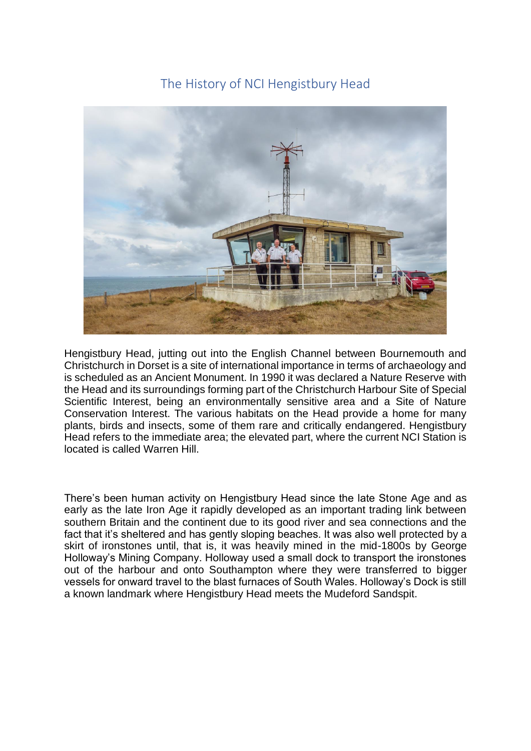# The History of NCI Hengistbury Head



Hengistbury Head, jutting out into the English Channel between Bournemouth and Christchurch in Dorset is a site of international importance in terms of archaeology and is scheduled as an Ancient Monument. In 1990 it was declared a Nature Reserve with the Head and its surroundings forming part of the Christchurch Harbour Site of Special Scientific Interest, being an environmentally sensitive area and a Site of Nature Conservation Interest. The various habitats on the Head provide a home for many plants, birds and insects, some of them rare and critically endangered. Hengistbury Head refers to the immediate area; the elevated part, where the current NCI Station is located is called Warren Hill.

There's been human activity on Hengistbury Head since the late Stone Age and as early as the late Iron Age it rapidly developed as an important trading link between southern Britain and the continent due to its good river and sea connections and the fact that it's sheltered and has gently sloping beaches. It was also well protected by a skirt of ironstones until, that is, it was heavily mined in the mid-1800s by George Holloway's Mining Company. Holloway used a small dock to transport the ironstones out of the harbour and onto Southampton where they were transferred to bigger vessels for onward travel to the blast furnaces of South Wales. Holloway's Dock is still a known landmark where Hengistbury Head meets the Mudeford Sandspit.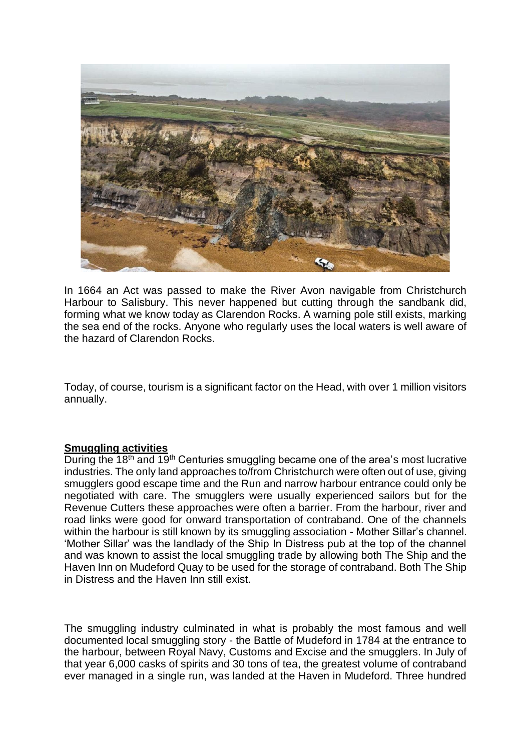

In 1664 an Act was passed to make the River Avon navigable from Christchurch Harbour to Salisbury. This never happened but cutting through the sandbank did, forming what we know today as Clarendon Rocks. A warning pole still exists, marking the sea end of the rocks. Anyone who regularly uses the local waters is well aware of the hazard of Clarendon Rocks.

Today, of course, tourism is a significant factor on the Head, with over 1 million visitors annually.

### **Smuggling activities**

During the 18<sup>th</sup> and 19<sup>th</sup> Centuries smuggling became one of the area's most lucrative industries. The only land approaches to/from Christchurch were often out of use, giving smugglers good escape time and the Run and narrow harbour entrance could only be negotiated with care. The smugglers were usually experienced sailors but for the Revenue Cutters these approaches were often a barrier. From the harbour, river and road links were good for onward transportation of contraband. One of the channels within the harbour is still known by its smuggling association - Mother Sillar's channel. 'Mother Sillar' was the landlady of the Ship In Distress pub at the top of the channel and was known to assist the local smuggling trade by allowing both The Ship and the Haven Inn on Mudeford Quay to be used for the storage of contraband. Both The Ship in Distress and the Haven Inn still exist.

The smuggling industry culminated in what is probably the most famous and well documented local smuggling story - the Battle of Mudeford in 1784 at the entrance to the harbour, between Royal Navy, Customs and Excise and the smugglers. In July of that year 6,000 casks of spirits and 30 tons of tea, the greatest volume of contraband ever managed in a single run, was landed at the Haven in Mudeford. Three hundred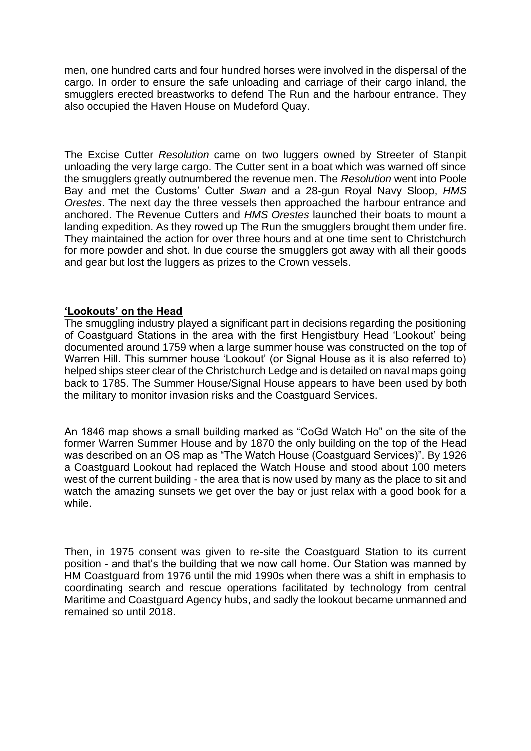men, one hundred carts and four hundred horses were involved in the dispersal of the cargo. In order to ensure the safe unloading and carriage of their cargo inland, the smugglers erected breastworks to defend The Run and the harbour entrance. They also occupied the Haven House on Mudeford Quay.

The Excise Cutter *Resolution* came on two luggers owned by Streeter of Stanpit unloading the very large cargo. The Cutter sent in a boat which was warned off since the smugglers greatly outnumbered the revenue men. The *Resolution* went into Poole Bay and met the Customs' Cutter *Swan* and a 28-gun Royal Navy Sloop, *HMS Orestes*. The next day the three vessels then approached the harbour entrance and anchored. The Revenue Cutters and *HMS Orestes* launched their boats to mount a landing expedition. As they rowed up The Run the smugglers brought them under fire. They maintained the action for over three hours and at one time sent to Christchurch for more powder and shot. In due course the smugglers got away with all their goods and gear but lost the luggers as prizes to the Crown vessels.

# **'Lookouts' on the Head**

The smuggling industry played a significant part in decisions regarding the positioning of Coastguard Stations in the area with the first Hengistbury Head 'Lookout' being documented around 1759 when a large summer house was constructed on the top of Warren Hill. This summer house 'Lookout' (or Signal House as it is also referred to) helped ships steer clear of the Christchurch Ledge and is detailed on naval maps going back to 1785. The Summer House/Signal House appears to have been used by both the military to monitor invasion risks and the Coastguard Services.

An 1846 map shows a small building marked as "CoGd Watch Ho" on the site of the former Warren Summer House and by 1870 the only building on the top of the Head was described on an OS map as "The Watch House (Coastguard Services)". By 1926 a Coastguard Lookout had replaced the Watch House and stood about 100 meters west of the current building - the area that is now used by many as the place to sit and watch the amazing sunsets we get over the bay or just relax with a good book for a while.

Then, in 1975 consent was given to re-site the Coastguard Station to its current position - and that's the building that we now call home. Our Station was manned by HM Coastguard from 1976 until the mid 1990s when there was a shift in emphasis to coordinating search and rescue operations facilitated by technology from central Maritime and Coastguard Agency hubs, and sadly the lookout became unmanned and remained so until 2018.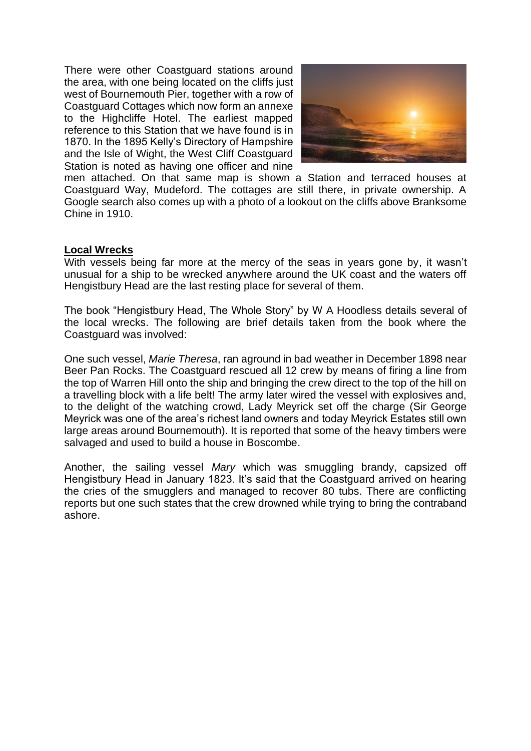There were other Coastguard stations around the area, with one being located on the cliffs just west of Bournemouth Pier, together with a row of Coastguard Cottages which now form an annexe to the Highcliffe Hotel. The earliest mapped reference to this Station that we have found is in 1870. In the 1895 Kelly's Directory of Hampshire and the Isle of Wight, the West Cliff Coastguard Station is noted as having one officer and nine



men attached. On that same map is shown a Station and terraced houses at Coastguard Way, Mudeford. The cottages are still there, in private ownership. A Google search also comes up with a photo of a lookout on the cliffs above Branksome Chine in 1910.

# **Local Wrecks**

With vessels being far more at the mercy of the seas in years gone by, it wasn't unusual for a ship to be wrecked anywhere around the UK coast and the waters off Hengistbury Head are the last resting place for several of them.

The book "Hengistbury Head, The Whole Story" by W A Hoodless details several of the local wrecks. The following are brief details taken from the book where the Coastguard was involved:

One such vessel, *Marie Theresa*, ran aground in bad weather in December 1898 near Beer Pan Rocks. The Coastguard rescued all 12 crew by means of firing a line from the top of Warren Hill onto the ship and bringing the crew direct to the top of the hill on a travelling block with a life belt! The army later wired the vessel with explosives and, to the delight of the watching crowd, Lady Meyrick set off the charge (Sir George Meyrick was one of the area's richest land owners and today Meyrick Estates still own large areas around Bournemouth). It is reported that some of the heavy timbers were salvaged and used to build a house in Boscombe.

Another, the sailing vessel *Mary* which was smuggling brandy, capsized off Hengistbury Head in January 1823. It's said that the Coastguard arrived on hearing the cries of the smugglers and managed to recover 80 tubs. There are conflicting reports but one such states that the crew drowned while trying to bring the contraband ashore.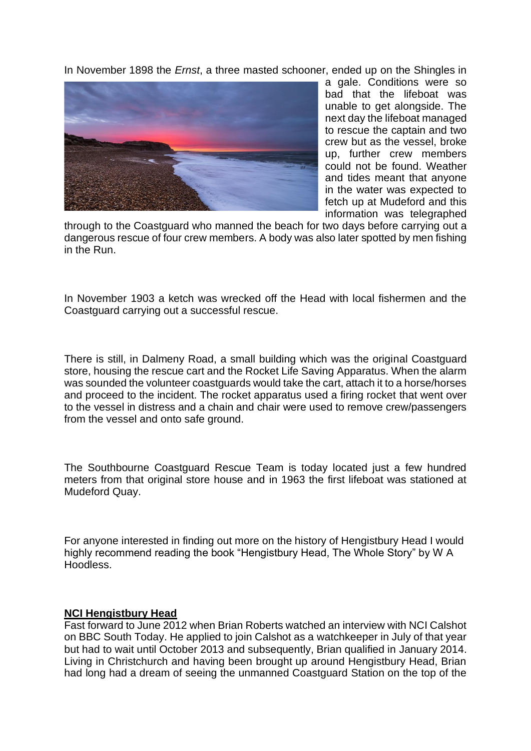In November 1898 the *Ernst*, a three masted schooner, ended up on the Shingles in



a gale. Conditions were so bad that the lifeboat was unable to get alongside. The next day the lifeboat managed to rescue the captain and two crew but as the vessel, broke up, further crew members could not be found. Weather and tides meant that anyone in the water was expected to fetch up at Mudeford and this information was telegraphed

through to the Coastguard who manned the beach for two days before carrying out a dangerous rescue of four crew members. A body was also later spotted by men fishing in the Run.

In November 1903 a ketch was wrecked off the Head with local fishermen and the Coastguard carrying out a successful rescue.

There is still, in Dalmeny Road, a small building which was the original Coastguard store, housing the rescue cart and the Rocket Life Saving Apparatus. When the alarm was sounded the volunteer coastguards would take the cart, attach it to a horse/horses and proceed to the incident. The rocket apparatus used a firing rocket that went over to the vessel in distress and a chain and chair were used to remove crew/passengers from the vessel and onto safe ground.

The Southbourne Coastguard Rescue Team is today located just a few hundred meters from that original store house and in 1963 the first lifeboat was stationed at Mudeford Quay.

For anyone interested in finding out more on the history of Hengistbury Head I would highly recommend reading the book "Hengistbury Head, The Whole Story" by W A Hoodless.

### **NCI Hengistbury Head**

Fast forward to June 2012 when Brian Roberts watched an interview with NCI Calshot on BBC South Today. He applied to join Calshot as a watchkeeper in July of that year but had to wait until October 2013 and subsequently, Brian qualified in January 2014. Living in Christchurch and having been brought up around Hengistbury Head, Brian had long had a dream of seeing the unmanned Coastguard Station on the top of the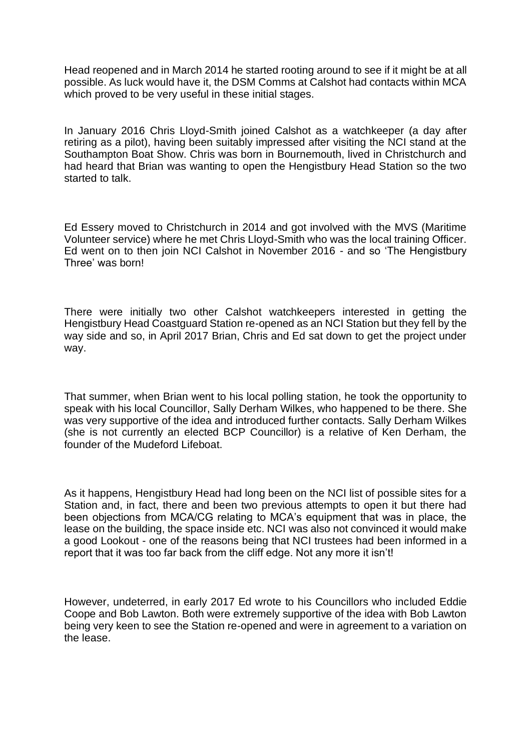Head reopened and in March 2014 he started rooting around to see if it might be at all possible. As luck would have it, the DSM Comms at Calshot had contacts within MCA which proved to be very useful in these initial stages.

In January 2016 Chris Lloyd-Smith joined Calshot as a watchkeeper (a day after retiring as a pilot), having been suitably impressed after visiting the NCI stand at the Southampton Boat Show. Chris was born in Bournemouth, lived in Christchurch and had heard that Brian was wanting to open the Hengistbury Head Station so the two started to talk.

Ed Essery moved to Christchurch in 2014 and got involved with the MVS (Maritime Volunteer service) where he met Chris Lloyd-Smith who was the local training Officer. Ed went on to then join NCI Calshot in November 2016 - and so 'The Hengistbury Three' was born!

There were initially two other Calshot watchkeepers interested in getting the Hengistbury Head Coastguard Station re-opened as an NCI Station but they fell by the way side and so, in April 2017 Brian, Chris and Ed sat down to get the project under way.

That summer, when Brian went to his local polling station, he took the opportunity to speak with his local Councillor, Sally Derham Wilkes, who happened to be there. She was very supportive of the idea and introduced further contacts. Sally Derham Wilkes (she is not currently an elected BCP Councillor) is a relative of Ken Derham, the founder of the Mudeford Lifeboat.

As it happens, Hengistbury Head had long been on the NCI list of possible sites for a Station and, in fact, there and been two previous attempts to open it but there had been objections from MCA/CG relating to MCA's equipment that was in place, the lease on the building, the space inside etc. NCI was also not convinced it would make a good Lookout - one of the reasons being that NCI trustees had been informed in a report that it was too far back from the cliff edge. Not any more it isn't!

However, undeterred, in early 2017 Ed wrote to his Councillors who included Eddie Coope and Bob Lawton. Both were extremely supportive of the idea with Bob Lawton being very keen to see the Station re-opened and were in agreement to a variation on the lease.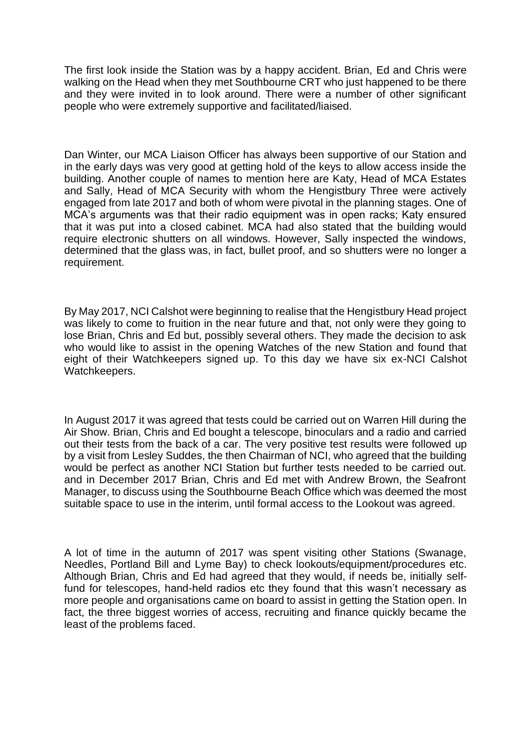The first look inside the Station was by a happy accident. Brian, Ed and Chris were walking on the Head when they met Southbourne CRT who just happened to be there and they were invited in to look around. There were a number of other significant people who were extremely supportive and facilitated/liaised.

Dan Winter, our MCA Liaison Officer has always been supportive of our Station and in the early days was very good at getting hold of the keys to allow access inside the building. Another couple of names to mention here are Katy, Head of MCA Estates and Sally, Head of MCA Security with whom the Hengistbury Three were actively engaged from late 2017 and both of whom were pivotal in the planning stages. One of MCA's arguments was that their radio equipment was in open racks; Katy ensured that it was put into a closed cabinet. MCA had also stated that the building would require electronic shutters on all windows. However, Sally inspected the windows, determined that the glass was, in fact, bullet proof, and so shutters were no longer a requirement.

By May 2017, NCI Calshot were beginning to realise that the Hengistbury Head project was likely to come to fruition in the near future and that, not only were they going to lose Brian, Chris and Ed but, possibly several others. They made the decision to ask who would like to assist in the opening Watches of the new Station and found that eight of their Watchkeepers signed up. To this day we have six ex-NCI Calshot Watchkeepers.

In August 2017 it was agreed that tests could be carried out on Warren Hill during the Air Show. Brian, Chris and Ed bought a telescope, binoculars and a radio and carried out their tests from the back of a car. The very positive test results were followed up by a visit from Lesley Suddes, the then Chairman of NCI, who agreed that the building would be perfect as another NCI Station but further tests needed to be carried out. and in December 2017 Brian, Chris and Ed met with Andrew Brown, the Seafront Manager, to discuss using the Southbourne Beach Office which was deemed the most suitable space to use in the interim, until formal access to the Lookout was agreed.

A lot of time in the autumn of 2017 was spent visiting other Stations (Swanage, Needles, Portland Bill and Lyme Bay) to check lookouts/equipment/procedures etc. Although Brian, Chris and Ed had agreed that they would, if needs be, initially selffund for telescopes, hand-held radios etc they found that this wasn't necessary as more people and organisations came on board to assist in getting the Station open. In fact, the three biggest worries of access, recruiting and finance quickly became the least of the problems faced.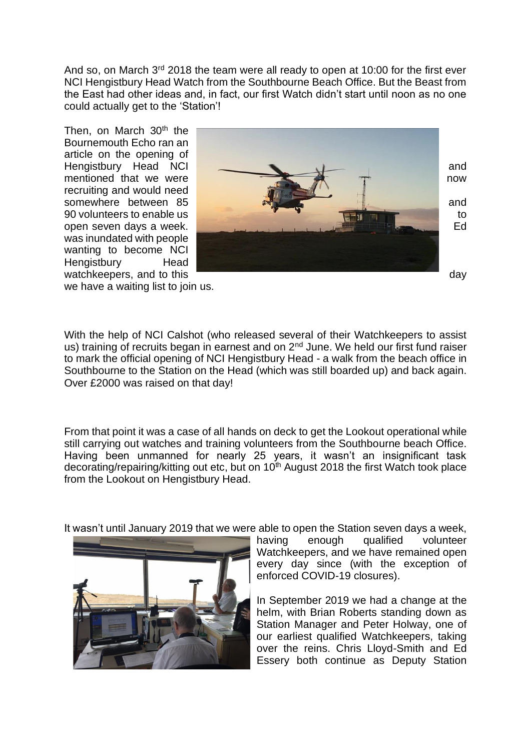And so, on March 3<sup>rd</sup> 2018 the team were all ready to open at 10:00 for the first ever NCI Hengistbury Head Watch from the Southbourne Beach Office. But the Beast from the East had other ideas and, in fact, our first Watch didn't start until noon as no one could actually get to the 'Station'!

Then, on March 30<sup>th</sup> the Bournemouth Echo ran an article on the opening of recruiting and would need was inundated with people wanting to become NCI Hengistbury Head



we have a waiting list to join us.

With the help of NCI Calshot (who released several of their Watchkeepers to assist us) training of recruits began in earnest and on 2<sup>nd</sup> June. We held our first fund raiser to mark the official opening of NCI Hengistbury Head - a walk from the beach office in Southbourne to the Station on the Head (which was still boarded up) and back again. Over £2000 was raised on that day!

From that point it was a case of all hands on deck to get the Lookout operational while still carrying out watches and training volunteers from the Southbourne beach Office. Having been unmanned for nearly 25 years, it wasn't an insignificant task decorating/repairing/kitting out etc, but on 10<sup>th</sup> August 2018 the first Watch took place from the Lookout on Hengistbury Head.

It wasn't until January 2019 that we were able to open the Station seven days a week,



having enough qualified volunteer Watchkeepers, and we have remained open every day since (with the exception of enforced COVID-19 closures).

In September 2019 we had a change at the helm, with Brian Roberts standing down as Station Manager and Peter Holway, one of our earliest qualified Watchkeepers, taking over the reins. Chris Lloyd-Smith and Ed Essery both continue as Deputy Station